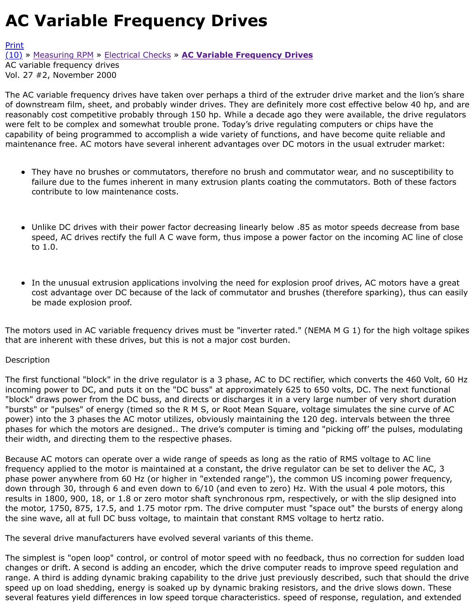The AC variable frequency drives have taken over perhaps a third of the extruder drive market and of downstream film, sheet, and probably winder drives. They are definitely more cost effective below reasonably cost competitive probably through 150 hp. While a decade ago they were available, the [were](http://extrusionwiki.com/wiki/Print.aspx?Page=CC-V27-2-C) felt to be complex and somewhat trouble prone. Today's drive regulating computers or chips h [capa](http://extrusionwiki.com/wiki/CC-V27-2-C.ashx#)bi[lity of being pro](http://extrusionwiki.com/wiki/CC-V27-2-A.ashx)gr[ammed to accomp](http://extrusionwiki.com/wiki/CC-V27-2-B.ashx)li[sh a wide variety of functions, an](http://extrusionwiki.com/wiki/CC-V27-2-C.ashx)d have become quite re maintenance free. AC motors have several inherent advantages over DC motors in the usual extruder

- They have no brushes or commutators, therefore no brush and commutator wear, and no sus failure due to the fumes inherent in many extrusion plants coating the commutators. Both of contribute to low maintenance costs.
- Unlike DC drives with their power factor decreasing linearly below .85 as motor speeds decre speed, AC drives rectify the full A C wave form, thus impose a power factor on the incoming  $\lambda$ to 1.0.
- In the unusual extrusion applications involving the need for explosion proof drives, AC motors  $\bullet$ cost advantage over DC because of the lack of commutator and brushes (therefore sparking) be made explosion proof.

The motors used in AC variable frequency drives must be "inverter rated." (NEMA M G 1) for the hig that are inherent with these drives, but this is not a major cost burden.

## Description

The first functional "block" in the drive regulator is a 3 phase, AC to DC rectifier, which converts the incoming power to DC, and puts it on the "DC buss" at approximately 625 to 650 volts, DC. The next "block" draws power from the DC buss, and directs or discharges it in a very large number of very s "bursts" or "pulses" of energy (timed so the R M S, or Root Mean Square, voltage simulates the sine power) into the 3 phases the AC motor utilizes, obviously maintaining the 120 deg. intervals betwee phases for which the motors are designed.. The drive's computer is timing and "picking off' the puls their width, and directing them to the respective phases.

Because AC motors can operate over a wide range of speeds as long as the ratio of RMS voltage to . frequency applied to the motor is maintained at a constant, the drive regulator can be set to deliver phase power anywhere from 60 Hz (or higher in "extended range"), the common US incoming powe down through 30, through 6 and even down to 6/10 (and even to zero) Hz. With the usual 4 pole m results in 1800, 900, 18, or 1.8 or zero motor shaft synchronous rpm, respectively, or with the slip the motor, 1750, 875, 17.5, and 1.75 motor rpm. The drive computer must "space out" the bursts of the sine wave, all at full DC buss voltage, to maintain that constant RMS voltage to hertz ratio.

The several drive manufacturers have evolved several variants of this theme.

The simplest is "open loop" control, or control of motor speed with no feedback, thus no correction for sudden changes or drift. A second is adding an encoder, which the drive computer reads to improve speed regulation and range. A third is adding dynamic braking capability to the drive just previously described, such that speed up on load shedding, energy is soaked up by dynamic braking resistors, and the drive slows of several features yield differences in low speed torque characteristics. speed of response, regulation,